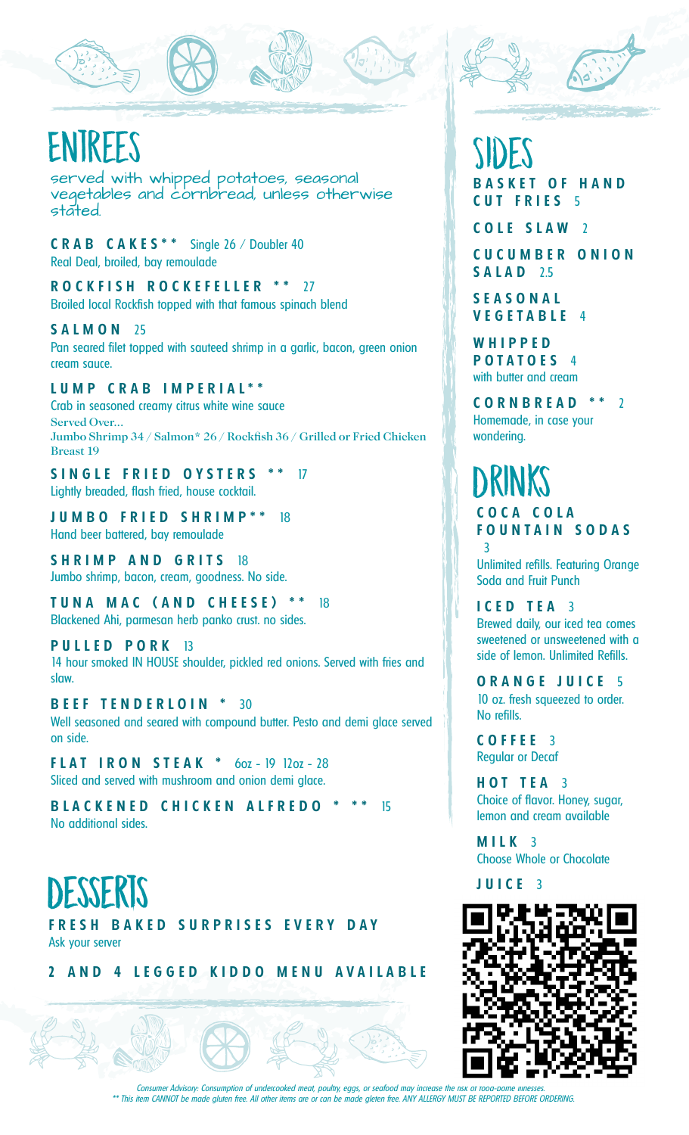# ENTREES

served with whipped potatoes, seasonal vegetables and cornbread, unless otherwise stated.

**C R A B C A K E S \* \*** Single 26 / Doubler 40 Real Deal, broiled, bay remoulade

**R O C K F I S H R O C K E F E L L E R \* \*** 27 Broiled local Rockfish topped with that famous spinach blend

**S A L M O N** 25 Pan seared filet topped with sauteed shrimp in a garlic, bacon, green onion cream sauce.

### **L U M P C R A B I M P E R I A L \* \***

Crab in seasoned creamy citrus white wine sauce Served Over... Jumbo Shrimp 34 / Salmon\* 26 / Rockfish 36 / Grilled or Fried Chicken Breast 19

**S I N G L E F R I E D O Y S T E R S \* \*** 17 Lightly breaded, flash fried, house cocktail.

**J U M B O F R I E D S H R I M P \* \*** 18 Hand beer battered, bay remoulade

**S H R I M P A N D G R I T S** 18 Jumbo shrimp, bacon, cream, goodness. No side.

**T U N A M A C ( A N D C H E E S E ) \* \*** 18 Blackened Ahi, parmesan herb panko crust. no sides.

#### **P U L L E D P O R K** 13

14 hour smoked IN HOUSE shoulder, pickled red onions. Served with fries and slaw.

**B E E F T E N D E R L O I N \*** 30 Well seasoned and seared with compound butter. Pesto and demi glace served on side.

**F L A T I R O N S T E A K \*** 6oz - 19 12oz - 28 Sliced and served with mushroom and onion demi glace.

**BLACKENED CHICKEN ALFREDO \* \*\* 15** No additional sides.

## **Desserts**

FRESH BAKED SURPRISES EVERY DAY Ask your server

2 AND 4 LEGGED KIDDO MENU AVAILABLE

## Sides **B A S K E T O F H A N D C U T F R I E S** 5

**C O L E S L A W** 2

**C U C U M B E R O N I O N S A L A D** 2.5

**S E A S O N A L V E G E T A B L E** 4

**W H I P P E D P O T A T O E S** 4 with butter and cream

**C O R N B R E A D \* \*** 2 Homemade, in case your wondering.

### DRINKS **C O C A C O L A F O U N T A I N S O D A S** 3

Unlimited refills. Featuring Orange Soda and Fruit Punch

**I C E D T E A** 3 Brewed daily, our iced tea comes sweetened or unsweetened with a side of lemon. Unlimited Refills.

**O R A N G E J U I C E** 5 10 oz. fresh squeezed to order. No refills.

**C O F F E E** 3 Regular or Decaf

**H O T T E A** 3 Choice of flavor. Honey, sugar, lemon and cream available

**M I L K** 3 Choose Whole or Chocolate

**J U I C E** 3



Consumer Advisory: Consumption of undercooked meat, poultry, eggs, or seafood may increase the risk \*\* This item CANNOT be made gluten free. All other items are or can be made gleten free. ANY ALLERGY MUST BE REPORTED BEFORE ORDERING.